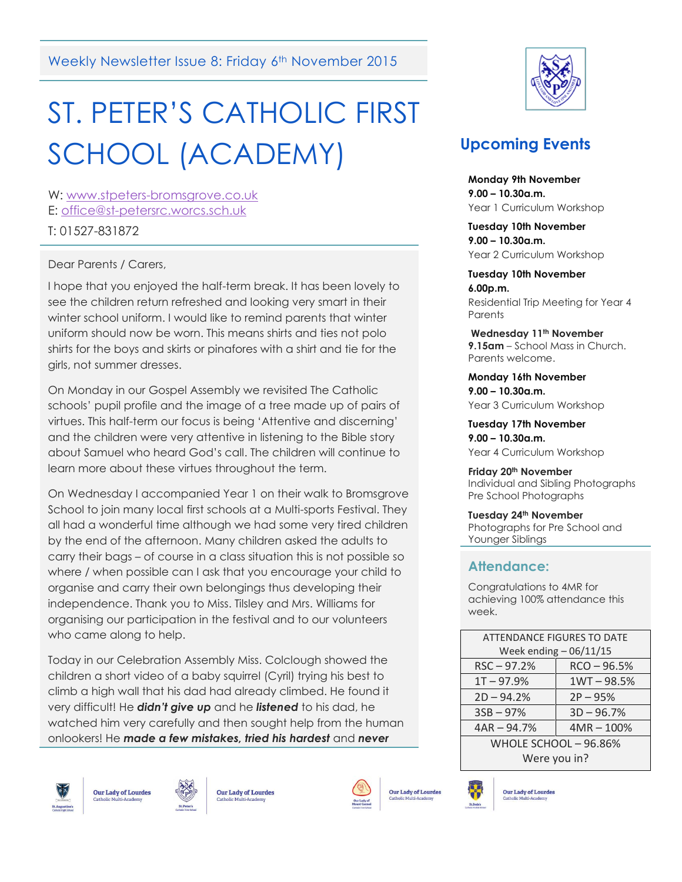Weekly Newsletter Issue 8: Friday 6<sup>th</sup> November 2015

# ST. PETER'S CATHOLIC FIRST SCHOOL (ACADEMY)

W: [www.stpeters-bromsgrove.co.uk](http://www.stpeters-bromsgrove.co.uk/) E: [office@st-petersrc.worcs.sch.uk](mailto:office@st-petersrc.worcs.sch.uk)

T: 01527-831872

Dear Parents / Carers,

I hope that you enjoyed the half-term break. It has been lovely to see the children return refreshed and looking very smart in their winter school uniform. I would like to remind parents that winter uniform should now be worn. This means shirts and ties not polo shirts for the boys and skirts or pinafores with a shirt and tie for the girls, not summer dresses.

On Monday in our Gospel Assembly we revisited The Catholic schools' pupil profile and the image of a tree made up of pairs of virtues. This half-term our focus is being 'Attentive and discerning' and the children were very attentive in listening to the Bible story about Samuel who heard God's call. The children will continue to learn more about these virtues throughout the term.

On Wednesday I accompanied Year 1 on their walk to Bromsgrove School to join many local first schools at a Multi-sports Festival. They all had a wonderful time although we had some very tired children by the end of the afternoon. Many children asked the adults to carry their bags – of course in a class situation this is not possible so where / when possible can I ask that you encourage your child to organise and carry their own belongings thus developing their independence. Thank you to Miss. Tilsley and Mrs. Williams for organising our participation in the festival and to our volunteers who came along to help.

Today in our Celebration Assembly Miss. Colclough showed the children a short video of a baby squirrel (Cyril) trying his best to climb a high wall that his dad had already climbed. He found it very difficult! He *didn't give up* and he *listened* to his dad, he watched him very carefully and then sought help from the human onlookers! He *made a few mistakes, tried his hardest* and *never* 







**Our Lady of Lourdes** 



**Our Lady of Lourdes** 



## **Upcoming Events**

**Monday 9th November 9.00 – 10.30a.m.** Year 1 Curriculum Workshop

**Tuesday 10th November 9.00 – 10.30a.m.** Year 2 Curriculum Workshop

**Tuesday 10th November 6.00p.m.** Residential Trip Meeting for Year 4 **Parents** 

**Wednesday 11th November 9.15am** – School Mass in Church. Parents welcome.

**Monday 16th November 9.00 – 10.30a.m.** Year 3 Curriculum Workshop

**Tuesday 17th November 9.00 – 10.30a.m.** Year 4 Curriculum Workshop

**Friday 20th November** Individual and Sibling Photographs Pre School Photographs

**Tuesday 24th November** Photographs for Pre School and Younger Siblings

## **Attendance:**

Congratulations to 4MR for achieving 100% attendance this week.

| <b>ATTENDANCE FIGURES TO DATE</b> |               |
|-----------------------------------|---------------|
| Week ending $-06/11/15$           |               |
| $RSC - 97.2%$                     | $RCO - 96.5%$ |
| $1T - 97.9%$                      | $1WT - 98.5%$ |
| $2D - 94.2%$                      | $2P - 95%$    |
| $3SB - 97%$                       | $3D - 96.7%$  |
| $4AR - 94.7%$                     | $4MR - 100%$  |
| WHOLE SCHOOL - 96.86%             |               |
| Were you in?                      |               |